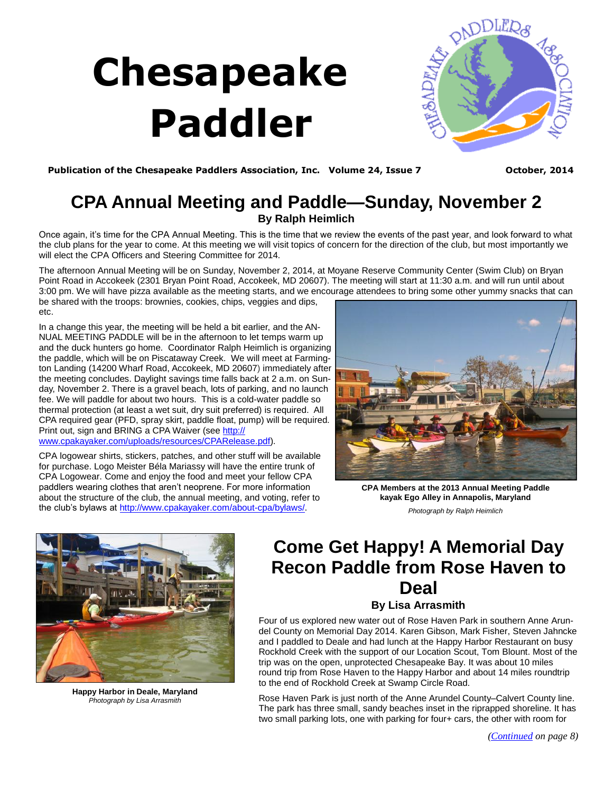# **Chesapeake Paddler**



Publication of the Chesapeake Paddlers Association, Inc. Volume 24, Issue 7 **Deta Case 10 Parade 10** October, 2014

### **CPA Annual Meeting and Paddle—Sunday, November 2 By Ralph Heimlich**

Once again, it's time for the CPA Annual Meeting. This is the time that we review the events of the past year, and look forward to what the club plans for the year to come. At this meeting we will visit topics of concern for the direction of the club, but most importantly we will elect the CPA Officers and Steering Committee for 2014.

The afternoon Annual Meeting will be on Sunday, November 2, 2014, at Moyane Reserve Community Center (Swim Club) on Bryan Point Road in Accokeek (2301 Bryan Point Road, Accokeek, MD 20607). The meeting will start at 11:30 a.m. and will run until about 3:00 pm. We will have pizza available as the meeting starts, and we encourage attendees to bring some other yummy snacks that can

be shared with the troops: brownies, cookies, chips, veggies and dips, etc.

In a change this year, the meeting will be held a bit earlier, and the AN-NUAL MEETING PADDLE will be in the afternoon to let temps warm up and the duck hunters go home. Coordinator Ralph Heimlich is organizing the paddle, which will be on Piscataway Creek. We will meet at Farmington Landing (14200 Wharf Road, Accokeek, MD 20607) immediately after the meeting concludes. Daylight savings time falls back at 2 a.m. on Sunday, November 2. There is a gravel beach, lots of parking, and no launch fee. We will paddle for about two hours. This is a cold-water paddle so thermal protection (at least a wet suit, dry suit preferred) is required. All CPA required gear (PFD, spray skirt, paddle float, pump) will be required. Print out, sign and BRING a CPA Waiver (see [http://](http://www.cpakayaker.com/uploads/resources/CPARelease.pdf) [www.cpakayaker.com/uploads/resources/CPARelease.pdf\).](http://www.cpakayaker.com/uploads/resources/CPARelease.pdf)

CPA logowear shirts, stickers, patches, and other stuff will be available for purchase. Logo Meister Béla Mariassy will have the entire trunk of CPA Logowear. Come and enjoy the food and meet your fellow CPA paddlers wearing clothes that aren't neoprene. For more information about the structure of the club, the annual meeting, and voting, refer to the club's bylaws at [http://www.cpakayaker.com/about-cpa/bylaws/.](http://www.cpakayaker.com/about-cpa/bylaws/)



**CPA Members at the 2013 Annual Meeting Paddle kayak Ego Alley in Annapolis, Maryland**  *Photograph by Ralph Heimlich* 



**Happy Harbor in Deale, Maryland**  *Photograph by Lisa Arrasmith* 

## **Come Get Happy! A Memorial Day Recon Paddle from Rose Haven to Deal**

#### **By Lisa Arrasmith**

Four of us explored new water out of Rose Haven Park in southern Anne Arundel County on Memorial Day 2014. Karen Gibson, Mark Fisher, Steven Jahncke and I paddled to Deale and had lunch at the Happy Harbor Restaurant on busy Rockhold Creek with the support of our Location Scout, Tom Blount. Most of the trip was on the open, unprotected Chesapeake Bay. It was about 10 miles round trip from Rose Haven to the Happy Harbor and about 14 miles roundtrip to the end of Rockhold Creek at Swamp Circle Road.

Rose Haven Park is just north of the Anne Arundel County–Calvert County line. The park has three small, sandy beaches inset in the riprapped shoreline. It has two small parking lots, one with parking for four+ cars, the other with room for